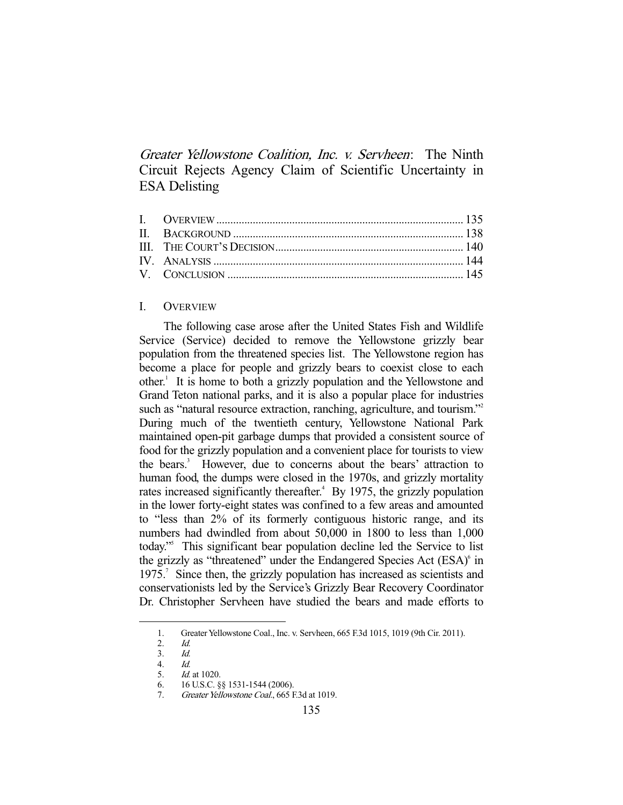Greater Yellowstone Coalition, Inc. v. Servheen: The Ninth Circuit Rejects Agency Claim of Scientific Uncertainty in ESA Delisting

## I. OVERVIEW

 The following case arose after the United States Fish and Wildlife Service (Service) decided to remove the Yellowstone grizzly bear population from the threatened species list. The Yellowstone region has become a place for people and grizzly bears to coexist close to each other.<sup>1</sup> It is home to both a grizzly population and the Yellowstone and Grand Teton national parks, and it is also a popular place for industries such as "natural resource extraction, ranching, agriculture, and tourism."<sup>2</sup> During much of the twentieth century, Yellowstone National Park maintained open-pit garbage dumps that provided a consistent source of food for the grizzly population and a convenient place for tourists to view the bears.<sup>3</sup> However, due to concerns about the bears' attraction to human food, the dumps were closed in the 1970s, and grizzly mortality rates increased significantly thereafter.<sup>4</sup> By 1975, the grizzly population in the lower forty-eight states was confined to a few areas and amounted to "less than 2% of its formerly contiguous historic range, and its numbers had dwindled from about 50,000 in 1800 to less than 1,000 today."5 This significant bear population decline led the Service to list the grizzly as "threatened" under the Endangered Species Act (ESA)<sup>6</sup> in 1975.<sup>7</sup> Since then, the grizzly population has increased as scientists and conservationists led by the Service's Grizzly Bear Recovery Coordinator Dr. Christopher Servheen have studied the bears and made efforts to

 <sup>1.</sup> Greater Yellowstone Coal., Inc. v. Servheen, 665 F.3d 1015, 1019 (9th Cir. 2011).

 <sup>2.</sup> Id.

<sup>3.</sup> *Id.*<br>4. *Id.* 

 <sup>4.</sup> Id.

 <sup>5.</sup> Id. at 1020.

 <sup>6. 16</sup> U.S.C. §§ 1531-1544 (2006).

 <sup>7.</sup> Greater Yellowstone Coal., 665 F.3d at 1019.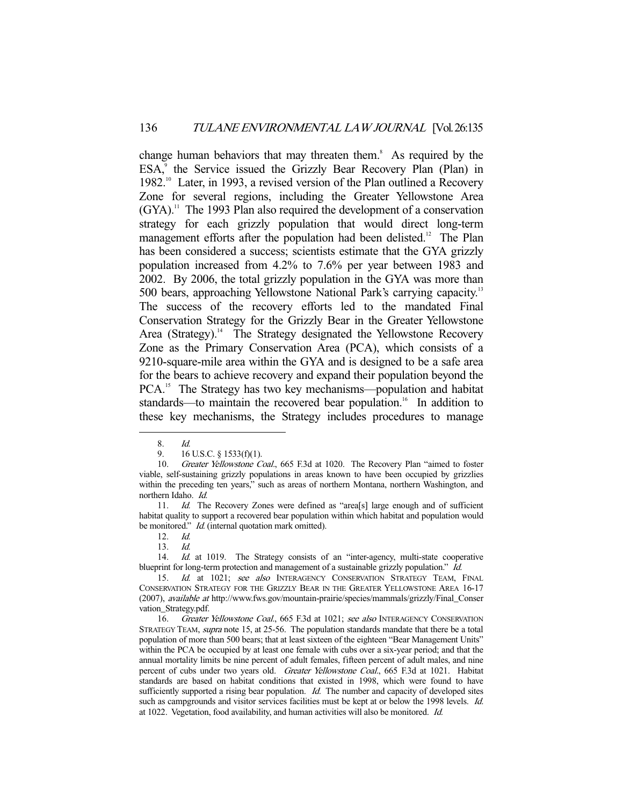change human behaviors that may threaten them.<sup>8</sup> As required by the ESA,<sup>9</sup> the Service issued the Grizzly Bear Recovery Plan (Plan) in 1982.<sup>10</sup> Later, in 1993, a revised version of the Plan outlined a Recovery Zone for several regions, including the Greater Yellowstone Area  $(GYA)$ .<sup>11</sup> The 1993 Plan also required the development of a conservation strategy for each grizzly population that would direct long-term management efforts after the population had been delisted.<sup>12</sup> The Plan has been considered a success; scientists estimate that the GYA grizzly population increased from 4.2% to 7.6% per year between 1983 and 2002. By 2006, the total grizzly population in the GYA was more than 500 bears, approaching Yellowstone National Park's carrying capacity.13 The success of the recovery efforts led to the mandated Final Conservation Strategy for the Grizzly Bear in the Greater Yellowstone Area (Strategy).<sup>14</sup> The Strategy designated the Yellowstone Recovery Zone as the Primary Conservation Area (PCA), which consists of a 9210-square-mile area within the GYA and is designed to be a safe area for the bears to achieve recovery and expand their population beyond the PCA.<sup>15</sup> The Strategy has two key mechanisms—population and habitat standards—to maintain the recovered bear population.<sup>16</sup> In addition to these key mechanisms, the Strategy includes procedures to manage

 <sup>8.</sup> Id.

<sup>9. 16</sup> U.S.C. § 1533(f)(1).

<sup>10.</sup> Greater Yellowstone Coal., 665 F.3d at 1020. The Recovery Plan "aimed to foster viable, self-sustaining grizzly populations in areas known to have been occupied by grizzlies within the preceding ten years," such as areas of northern Montana, northern Washington, and northern Idaho. Id.

 <sup>11.</sup> Id. The Recovery Zones were defined as "area[s] large enough and of sufficient habitat quality to support a recovered bear population within which habitat and population would be monitored." *Id.* (internal quotation mark omitted).

<sup>12.</sup> *Id.*<br>13. *Id.* 

 <sup>13.</sup> Id.

<sup>14.</sup> Id. at 1019. The Strategy consists of an "inter-agency, multi-state cooperative blueprint for long-term protection and management of a sustainable grizzly population." Id.

<sup>15.</sup> Id. at 1021; see also INTERAGENCY CONSERVATION STRATEGY TEAM, FINAL CONSERVATION STRATEGY FOR THE GRIZZLY BEAR IN THE GREATER YELLOWSTONE AREA 16-17 (2007), *available at* http://www.fws.gov/mountain-prairie/species/mammals/grizzly/Final\_Conser vation\_Strategy.pdf.

<sup>16.</sup> Greater Yellowstone Coal., 665 F.3d at 1021; see also INTERAGENCY CONSERVATION STRATEGY TEAM, *supra* note 15, at 25-56. The population standards mandate that there be a total population of more than 500 bears; that at least sixteen of the eighteen "Bear Management Units" within the PCA be occupied by at least one female with cubs over a six-year period; and that the annual mortality limits be nine percent of adult females, fifteen percent of adult males, and nine percent of cubs under two years old. Greater Yellowstone Coal., 665 F.3d at 1021. Habitat standards are based on habitat conditions that existed in 1998, which were found to have sufficiently supported a rising bear population. *Id.* The number and capacity of developed sites such as campgrounds and visitor services facilities must be kept at or below the 1998 levels. Id. at 1022. Vegetation, food availability, and human activities will also be monitored. Id.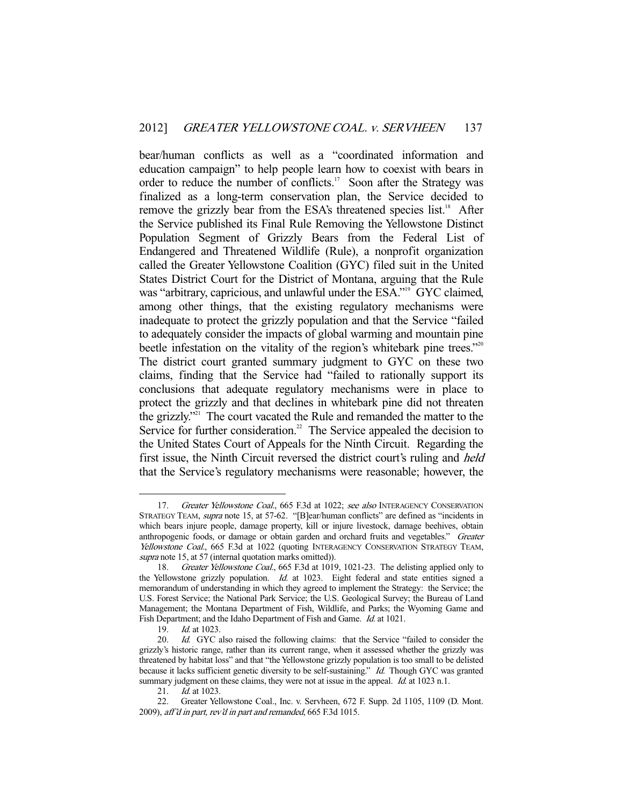bear/human conflicts as well as a "coordinated information and education campaign" to help people learn how to coexist with bears in order to reduce the number of conflicts.<sup>17</sup> Soon after the Strategy was finalized as a long-term conservation plan, the Service decided to remove the grizzly bear from the ESA's threatened species list.<sup>18</sup> After the Service published its Final Rule Removing the Yellowstone Distinct Population Segment of Grizzly Bears from the Federal List of Endangered and Threatened Wildlife (Rule), a nonprofit organization called the Greater Yellowstone Coalition (GYC) filed suit in the United States District Court for the District of Montana, arguing that the Rule was "arbitrary, capricious, and unlawful under the ESA."<sup>9</sup> GYC claimed, among other things, that the existing regulatory mechanisms were inadequate to protect the grizzly population and that the Service "failed to adequately consider the impacts of global warming and mountain pine beetle infestation on the vitality of the region's whitebark pine trees."<sup>20</sup> The district court granted summary judgment to GYC on these two claims, finding that the Service had "failed to rationally support its conclusions that adequate regulatory mechanisms were in place to protect the grizzly and that declines in whitebark pine did not threaten the grizzly."21 The court vacated the Rule and remanded the matter to the Service for further consideration.<sup>22</sup> The Service appealed the decision to the United States Court of Appeals for the Ninth Circuit. Regarding the first issue, the Ninth Circuit reversed the district court's ruling and *held* that the Service's regulatory mechanisms were reasonable; however, the

<sup>17.</sup> Greater Yellowstone Coal., 665 F.3d at 1022; see also INTERAGENCY CONSERVATION STRATEGY TEAM, supra note 15, at 57-62. "[B]ear/human conflicts" are defined as "incidents in which bears injure people, damage property, kill or injure livestock, damage beehives, obtain anthropogenic foods, or damage or obtain garden and orchard fruits and vegetables." Greater Yellowstone Coal., 665 F.3d at 1022 (quoting INTERAGENCY CONSERVATION STRATEGY TEAM, supra note 15, at 57 (internal quotation marks omitted)).

 <sup>18.</sup> Greater Yellowstone Coal., 665 F.3d at 1019, 1021-23. The delisting applied only to the Yellowstone grizzly population.  $Id$  at 1023. Eight federal and state entities signed a memorandum of understanding in which they agreed to implement the Strategy: the Service; the U.S. Forest Service; the National Park Service; the U.S. Geological Survey; the Bureau of Land Management; the Montana Department of Fish, Wildlife, and Parks; the Wyoming Game and Fish Department; and the Idaho Department of Fish and Game. Id. at 1021.

 <sup>19.</sup> Id. at 1023.

<sup>20.</sup> Id. GYC also raised the following claims: that the Service "failed to consider the grizzly's historic range, rather than its current range, when it assessed whether the grizzly was threatened by habitat loss" and that "the Yellowstone grizzly population is too small to be delisted because it lacks sufficient genetic diversity to be self-sustaining." Id. Though GYC was granted summary judgment on these claims, they were not at issue in the appeal. *Id.* at 1023 n.1.

<sup>21.</sup> *Id.* at 1023.

 <sup>22.</sup> Greater Yellowstone Coal., Inc. v. Servheen, 672 F. Supp. 2d 1105, 1109 (D. Mont. 2009), aff'd in part, rev'd in part and remanded, 665 F.3d 1015.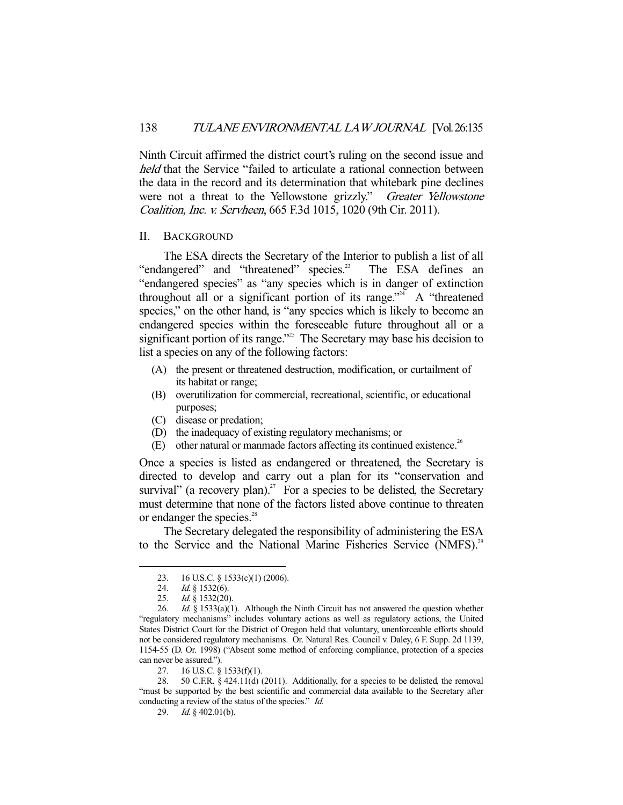Ninth Circuit affirmed the district court's ruling on the second issue and held that the Service "failed to articulate a rational connection between the data in the record and its determination that whitebark pine declines were not a threat to the Yellowstone grizzly." Greater Yellowstone Coalition, Inc. v. Servheen, 665 F.3d 1015, 1020 (9th Cir. 2011).

## II. BACKGROUND

The ESA directs the Secretary of the Interior to publish a list of all angered" and "threatened" species.<sup>23</sup> The ESA defines an "endangered" and "threatened" species.<sup>23</sup> "endangered species" as "any species which is in danger of extinction throughout all or a significant portion of its range."<sup>24</sup> A "threatened species," on the other hand, is "any species which is likely to become an endangered species within the foreseeable future throughout all or a significant portion of its range."<sup>25</sup> The Secretary may base his decision to list a species on any of the following factors:

- (A) the present or threatened destruction, modification, or curtailment of its habitat or range;
- (B) overutilization for commercial, recreational, scientific, or educational purposes;
- (C) disease or predation;
- (D) the inadequacy of existing regulatory mechanisms; or
- (E) other natural or manmade factors affecting its continued existence.<sup>26</sup>

Once a species is listed as endangered or threatened, the Secretary is directed to develop and carry out a plan for its "conservation and survival" (a recovery plan).<sup>27</sup> For a species to be delisted, the Secretary must determine that none of the factors listed above continue to threaten or endanger the species.<sup>28</sup>

 The Secretary delegated the responsibility of administering the ESA to the Service and the National Marine Fisheries Service (NMFS).<sup>29</sup>

 <sup>23. 16</sup> U.S.C. § 1533(c)(1) (2006).

<sup>24.</sup> *Id.* § 1532(6).

 <sup>25.</sup> Id. § 1532(20).

<sup>26.</sup> Id.  $\hat{g}$  1533(a)(1). Although the Ninth Circuit has not answered the question whether "regulatory mechanisms" includes voluntary actions as well as regulatory actions, the United States District Court for the District of Oregon held that voluntary, unenforceable efforts should not be considered regulatory mechanisms. Or. Natural Res. Council v. Daley, 6 F. Supp. 2d 1139, 1154-55 (D. Or. 1998) ("Absent some method of enforcing compliance, protection of a species can never be assured.").

 <sup>27. 16</sup> U.S.C. § 1533(f)(1).

<sup>28. 50</sup> C.F.R.  $\S$  424.11(d) (2011). Additionally, for a species to be delisted, the removal "must be supported by the best scientific and commercial data available to the Secretary after conducting a review of the status of the species." Id.

 <sup>29.</sup> Id. § 402.01(b).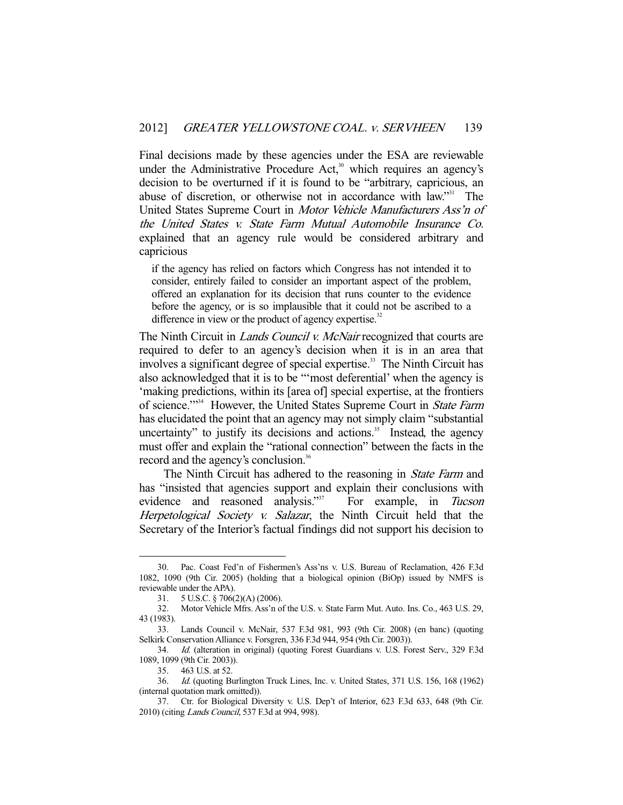Final decisions made by these agencies under the ESA are reviewable under the Administrative Procedure Act, $30$  which requires an agency's decision to be overturned if it is found to be "arbitrary, capricious, an abuse of discretion, or otherwise not in accordance with law."<sup>31</sup> The United States Supreme Court in Motor Vehicle Manufacturers Ass'n of the United States v. State Farm Mutual Automobile Insurance Co. explained that an agency rule would be considered arbitrary and capricious

if the agency has relied on factors which Congress has not intended it to consider, entirely failed to consider an important aspect of the problem, offered an explanation for its decision that runs counter to the evidence before the agency, or is so implausible that it could not be ascribed to a difference in view or the product of agency expertise.<sup>32</sup>

The Ninth Circuit in *Lands Council v. McNair* recognized that courts are required to defer to an agency's decision when it is in an area that involves a significant degree of special expertise.<sup>33</sup> The Ninth Circuit has also acknowledged that it is to be "'most deferential' when the agency is 'making predictions, within its [area of] special expertise, at the frontiers of science."<sup>334</sup> However, the United States Supreme Court in State Farm has elucidated the point that an agency may not simply claim "substantial uncertainty" to justify its decisions and actions. $35$  Instead, the agency must offer and explain the "rational connection" between the facts in the record and the agency's conclusion.<sup>36</sup>

The Ninth Circuit has adhered to the reasoning in *State Farm* and has "insisted that agencies support and explain their conclusions with evidence and reasoned analysis."<sup>37</sup> For example, in Tucson Herpetological Society v. Salazar, the Ninth Circuit held that the Secretary of the Interior's factual findings did not support his decision to

 <sup>30.</sup> Pac. Coast Fed'n of Fishermen's Ass'ns v. U.S. Bureau of Reclamation, 426 F.3d 1082, 1090 (9th Cir. 2005) (holding that a biological opinion (BiOp) issued by NMFS is reviewable under the APA).

 <sup>31. 5</sup> U.S.C. § 706(2)(A) (2006).

 <sup>32.</sup> Motor Vehicle Mfrs. Ass'n of the U.S. v. State Farm Mut. Auto. Ins. Co., 463 U.S. 29, 43 (1983).

 <sup>33.</sup> Lands Council v. McNair, 537 F.3d 981, 993 (9th Cir. 2008) (en banc) (quoting Selkirk Conservation Alliance v. Forsgren, 336 F.3d 944, 954 (9th Cir. 2003)).

 <sup>34.</sup> Id. (alteration in original) (quoting Forest Guardians v. U.S. Forest Serv., 329 F.3d 1089, 1099 (9th Cir. 2003)).

 <sup>35. 463</sup> U.S. at 52.

 <sup>36.</sup> Id. (quoting Burlington Truck Lines, Inc. v. United States, 371 U.S. 156, 168 (1962) (internal quotation mark omitted)).

 <sup>37.</sup> Ctr. for Biological Diversity v. U.S. Dep't of Interior, 623 F.3d 633, 648 (9th Cir. 2010) (citing Lands Council, 537 F.3d at 994, 998).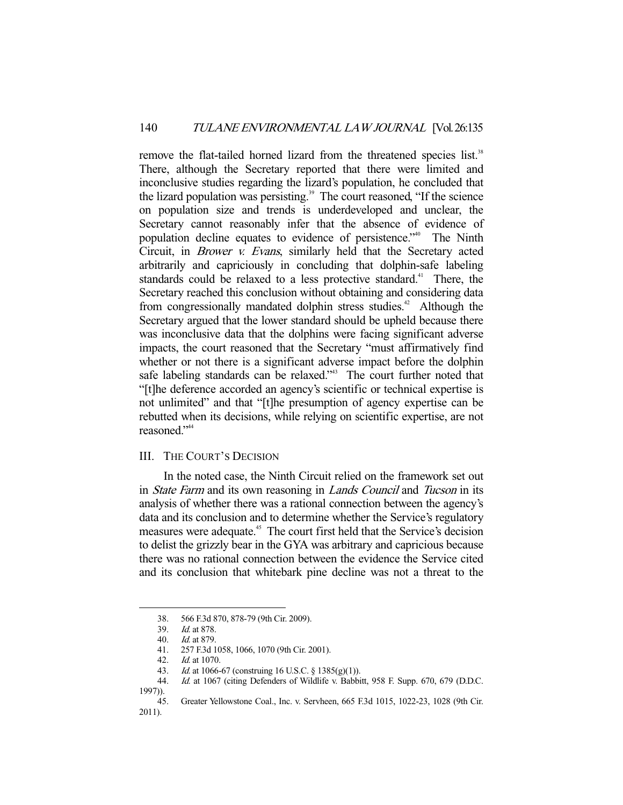remove the flat-tailed horned lizard from the threatened species list.<sup>38</sup> There, although the Secretary reported that there were limited and inconclusive studies regarding the lizard's population, he concluded that the lizard population was persisting.<sup>39</sup> The court reasoned, "If the science" on population size and trends is underdeveloped and unclear, the Secretary cannot reasonably infer that the absence of evidence of population decline equates to evidence of persistence."40 The Ninth Circuit, in Brower v. Evans, similarly held that the Secretary acted arbitrarily and capriciously in concluding that dolphin-safe labeling standards could be relaxed to a less protective standard.<sup>41</sup> There, the Secretary reached this conclusion without obtaining and considering data from congressionally mandated dolphin stress studies.<sup>42</sup> Although the Secretary argued that the lower standard should be upheld because there was inconclusive data that the dolphins were facing significant adverse impacts, the court reasoned that the Secretary "must affirmatively find whether or not there is a significant adverse impact before the dolphin safe labeling standards can be relaxed."<sup>43</sup> The court further noted that "[t]he deference accorded an agency's scientific or technical expertise is not unlimited" and that "[t]he presumption of agency expertise can be rebutted when its decisions, while relying on scientific expertise, are not reasoned."<sup>44</sup>

## III. THE COURT'S DECISION

 In the noted case, the Ninth Circuit relied on the framework set out in State Farm and its own reasoning in Lands Council and Tucson in its analysis of whether there was a rational connection between the agency's data and its conclusion and to determine whether the Service's regulatory measures were adequate.<sup>45</sup> The court first held that the Service's decision to delist the grizzly bear in the GYA was arbitrary and capricious because there was no rational connection between the evidence the Service cited and its conclusion that whitebark pine decline was not a threat to the

<sup>38. 566</sup> F.3d 870, 878-79 (9th Cir. 2009).<br>39. Id. at 878.

<sup>39.</sup> *Id.* at 878.<br>40. *Id.* at 879.

Id. at 879.

<sup>41. 257</sup> F.3d 1058, 1066, 1070 (9th Cir. 2001).<br>42. Id. at 1070.

Id. at 1070.

 <sup>43.</sup> Id. at 1066-67 (construing 16 U.S.C. § 1385(g)(1)).

 <sup>44.</sup> Id. at 1067 (citing Defenders of Wildlife v. Babbitt, 958 F. Supp. 670, 679 (D.D.C. 1997)).

 <sup>45.</sup> Greater Yellowstone Coal., Inc. v. Servheen, 665 F.3d 1015, 1022-23, 1028 (9th Cir. 2011).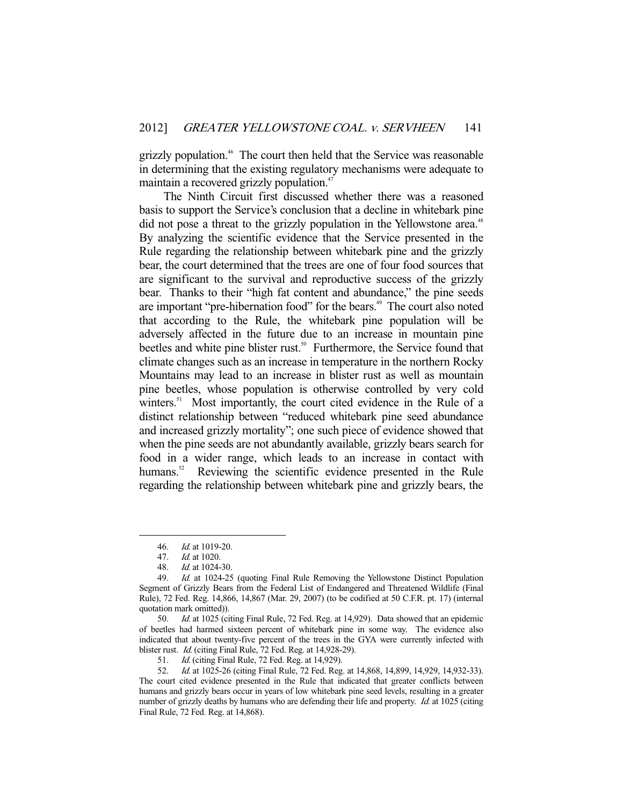grizzly population.46 The court then held that the Service was reasonable in determining that the existing regulatory mechanisms were adequate to maintain a recovered grizzly population.<sup>47</sup>

 The Ninth Circuit first discussed whether there was a reasoned basis to support the Service's conclusion that a decline in whitebark pine did not pose a threat to the grizzly population in the Yellowstone area.<sup>48</sup> By analyzing the scientific evidence that the Service presented in the Rule regarding the relationship between whitebark pine and the grizzly bear, the court determined that the trees are one of four food sources that are significant to the survival and reproductive success of the grizzly bear. Thanks to their "high fat content and abundance," the pine seeds are important "pre-hibernation food" for the bears.<sup>49</sup> The court also noted that according to the Rule, the whitebark pine population will be adversely affected in the future due to an increase in mountain pine beetles and white pine blister rust.<sup>50</sup> Furthermore, the Service found that climate changes such as an increase in temperature in the northern Rocky Mountains may lead to an increase in blister rust as well as mountain pine beetles, whose population is otherwise controlled by very cold winters.<sup>51</sup> Most importantly, the court cited evidence in the Rule of a distinct relationship between "reduced whitebark pine seed abundance and increased grizzly mortality"; one such piece of evidence showed that when the pine seeds are not abundantly available, grizzly bears search for food in a wider range, which leads to an increase in contact with humans.<sup>52</sup> Reviewing the scientific evidence presented in the Rule regarding the relationship between whitebark pine and grizzly bears, the

 <sup>46.</sup> Id. at 1019-20.

 <sup>47.</sup> Id. at 1020.

 <sup>48.</sup> Id. at 1024-30.

 <sup>49.</sup> Id. at 1024-25 (quoting Final Rule Removing the Yellowstone Distinct Population Segment of Grizzly Bears from the Federal List of Endangered and Threatened Wildlife (Final Rule), 72 Fed. Reg. 14,866, 14,867 (Mar. 29, 2007) (to be codified at 50 C.F.R. pt. 17) (internal quotation mark omitted)).

 <sup>50.</sup> Id. at 1025 (citing Final Rule, 72 Fed. Reg. at 14,929). Data showed that an epidemic of beetles had harmed sixteen percent of whitebark pine in some way. The evidence also indicated that about twenty-five percent of the trees in the GYA were currently infected with blister rust. Id. (citing Final Rule, 72 Fed. Reg. at 14,928-29).

 <sup>51.</sup> Id. (citing Final Rule, 72 Fed. Reg. at 14,929).

<sup>52.</sup> Id. at 1025-26 (citing Final Rule, 72 Fed. Reg. at 14,868, 14,899, 14,929, 14,932-33). The court cited evidence presented in the Rule that indicated that greater conflicts between humans and grizzly bears occur in years of low whitebark pine seed levels, resulting in a greater number of grizzly deaths by humans who are defending their life and property. *Id.* at 1025 (citing Final Rule, 72 Fed. Reg. at 14,868).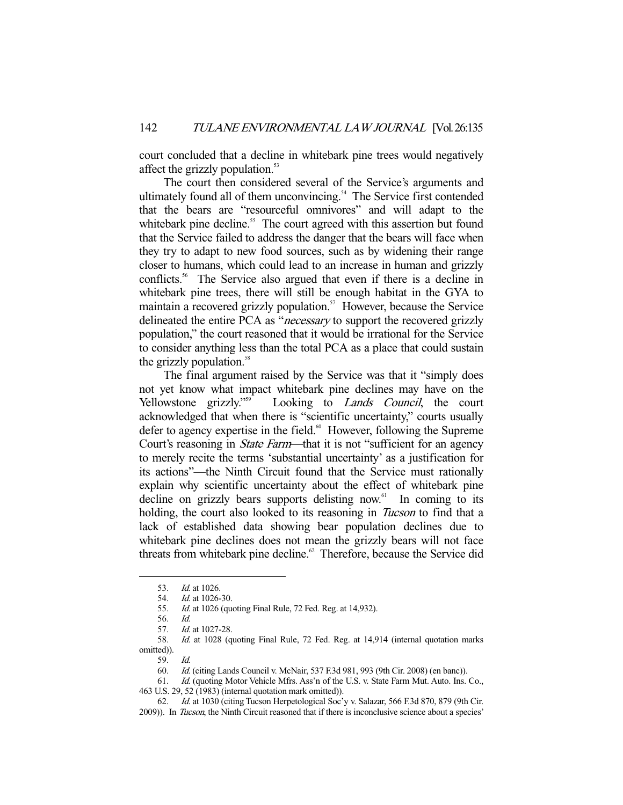court concluded that a decline in whitebark pine trees would negatively affect the grizzly population.<sup>53</sup>

 The court then considered several of the Service's arguments and ultimately found all of them unconvincing.<sup>54</sup> The Service first contended that the bears are "resourceful omnivores" and will adapt to the whitebark pine decline.<sup>55</sup> The court agreed with this assertion but found that the Service failed to address the danger that the bears will face when they try to adapt to new food sources, such as by widening their range closer to humans, which could lead to an increase in human and grizzly conflicts.<sup>56</sup> The Service also argued that even if there is a decline in whitebark pine trees, there will still be enough habitat in the GYA to maintain a recovered grizzly population.<sup>57</sup> However, because the Service delineated the entire PCA as "*necessary* to support the recovered grizzly population," the court reasoned that it would be irrational for the Service to consider anything less than the total PCA as a place that could sustain the grizzly population.<sup>58</sup>

 The final argument raised by the Service was that it "simply does not yet know what impact whitebark pine declines may have on the Yellowstone grizzly."<sup>559</sup> Looking to *Lands Council*, the court Looking to *Lands Council*, the court acknowledged that when there is "scientific uncertainty," courts usually defer to agency expertise in the field.<sup>60</sup> However, following the Supreme Court's reasoning in *State Farm*—that it is not "sufficient for an agency to merely recite the terms 'substantial uncertainty' as a justification for its actions"—the Ninth Circuit found that the Service must rationally explain why scientific uncertainty about the effect of whitebark pine decline on grizzly bears supports delisting now. $61$  In coming to its holding, the court also looked to its reasoning in *Tucson* to find that a lack of established data showing bear population declines due to whitebark pine declines does not mean the grizzly bears will not face threats from whitebark pine decline.<sup>62</sup> Therefore, because the Service did

 <sup>53.</sup> Id. at 1026.

<sup>54.</sup> *Id.* at 1026-30.

<sup>55.</sup> *Id.* at 1026 (quoting Final Rule, 72 Fed. Reg. at 14,932).

 <sup>56.</sup> Id.

<sup>57.</sup> *Id.* at 1027-28.

 <sup>58.</sup> Id. at 1028 (quoting Final Rule, 72 Fed. Reg. at 14,914 (internal quotation marks omitted)).

 <sup>59.</sup> Id.

 <sup>60.</sup> Id. (citing Lands Council v. McNair, 537 F.3d 981, 993 (9th Cir. 2008) (en banc)).

<sup>61.</sup> *Id.* (quoting Motor Vehicle Mfrs. Ass'n of the U.S. v. State Farm Mut. Auto. Ins. Co., 463 U.S. 29, 52 (1983) (internal quotation mark omitted)).

 <sup>62.</sup> Id. at 1030 (citing Tucson Herpetological Soc'y v. Salazar, 566 F.3d 870, 879 (9th Cir. 2009)). In Tucson, the Ninth Circuit reasoned that if there is inconclusive science about a species'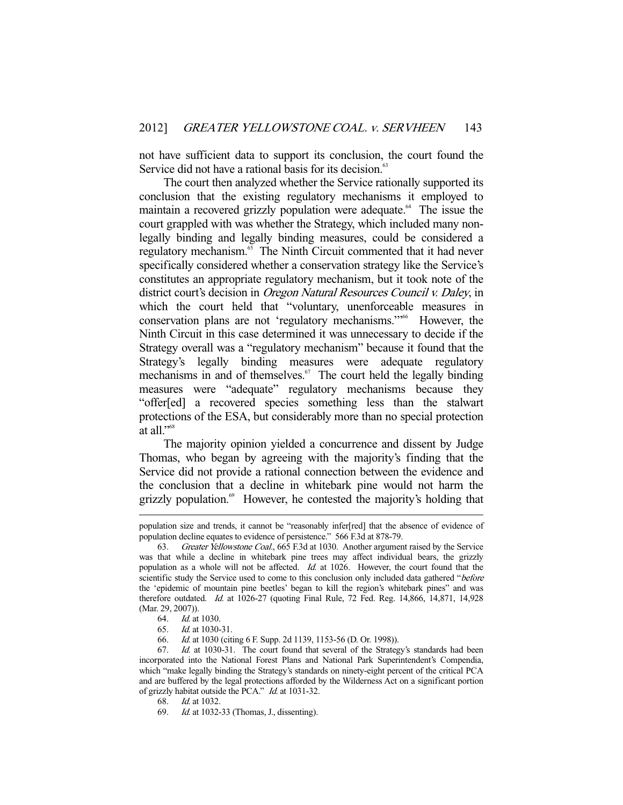not have sufficient data to support its conclusion, the court found the Service did not have a rational basis for its decision.<sup>63</sup>

 The court then analyzed whether the Service rationally supported its conclusion that the existing regulatory mechanisms it employed to maintain a recovered grizzly population were adequate.<sup>64</sup> The issue the court grappled with was whether the Strategy, which included many nonlegally binding and legally binding measures, could be considered a regulatory mechanism. $65$  The Ninth Circuit commented that it had never specifically considered whether a conservation strategy like the Service's constitutes an appropriate regulatory mechanism, but it took note of the district court's decision in Oregon Natural Resources Council v. Daley, in which the court held that "voluntary, unenforceable measures in conservation plans are not 'regulatory mechanisms.'"<sup>66</sup> However, the Ninth Circuit in this case determined it was unnecessary to decide if the Strategy overall was a "regulatory mechanism" because it found that the Strategy's legally binding measures were adequate regulatory mechanisms in and of themselves. $67$  The court held the legally binding measures were "adequate" regulatory mechanisms because they "offer[ed] a recovered species something less than the stalwart protections of the ESA, but considerably more than no special protection at all."68

 The majority opinion yielded a concurrence and dissent by Judge Thomas, who began by agreeing with the majority's finding that the Service did not provide a rational connection between the evidence and the conclusion that a decline in whitebark pine would not harm the grizzly population.<sup>69</sup> However, he contested the majority's holding that

population size and trends, it cannot be "reasonably infer[red] that the absence of evidence of population decline equates to evidence of persistence." 566 F.3d at 878-79.

 <sup>63.</sup> Greater Yellowstone Coal., 665 F.3d at 1030. Another argument raised by the Service was that while a decline in whitebark pine trees may affect individual bears, the grizzly population as a whole will not be affected. Id. at 1026. However, the court found that the scientific study the Service used to come to this conclusion only included data gathered "before the 'epidemic of mountain pine beetles' began to kill the region's whitebark pines" and was therefore outdated. Id. at 1026-27 (quoting Final Rule, 72 Fed. Reg. 14,866, 14,871, 14,928 (Mar. 29, 2007)).

 <sup>64.</sup> Id. at 1030.

 <sup>65.</sup> Id. at 1030-31.

 <sup>66.</sup> Id. at 1030 (citing 6 F. Supp. 2d 1139, 1153-56 (D. Or. 1998)).

 <sup>67.</sup> Id. at 1030-31. The court found that several of the Strategy's standards had been incorporated into the National Forest Plans and National Park Superintendent's Compendia, which "make legally binding the Strategy's standards on ninety-eight percent of the critical PCA and are buffered by the legal protections afforded by the Wilderness Act on a significant portion of grizzly habitat outside the PCA." Id. at 1031-32.

 <sup>68.</sup> Id. at 1032.

 <sup>69.</sup> Id. at 1032-33 (Thomas, J., dissenting).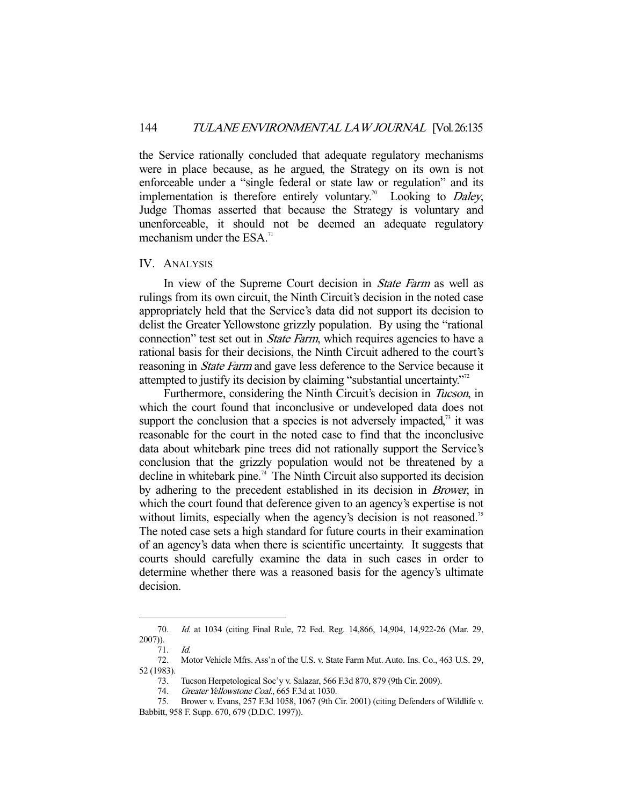the Service rationally concluded that adequate regulatory mechanisms were in place because, as he argued, the Strategy on its own is not enforceable under a "single federal or state law or regulation" and its implementation is therefore entirely voluntary.<sup>70</sup> Looking to *Daley*, Judge Thomas asserted that because the Strategy is voluntary and unenforceable, it should not be deemed an adequate regulatory mechanism under the  $ESA.^{71}$ 

## IV. ANALYSIS

In view of the Supreme Court decision in *State Farm* as well as rulings from its own circuit, the Ninth Circuit's decision in the noted case appropriately held that the Service's data did not support its decision to delist the Greater Yellowstone grizzly population. By using the "rational connection" test set out in *State Farm*, which requires agencies to have a rational basis for their decisions, the Ninth Circuit adhered to the court's reasoning in *State Farm* and gave less deference to the Service because it attempted to justify its decision by claiming "substantial uncertainty."72

 Furthermore, considering the Ninth Circuit's decision in Tucson, in which the court found that inconclusive or undeveloped data does not support the conclusion that a species is not adversely impacted, $\alpha$ <sup>3</sup> it was reasonable for the court in the noted case to find that the inconclusive data about whitebark pine trees did not rationally support the Service's conclusion that the grizzly population would not be threatened by a decline in whitebark pine.<sup>74</sup> The Ninth Circuit also supported its decision by adhering to the precedent established in its decision in Brower, in which the court found that deference given to an agency's expertise is not without limits, especially when the agency's decision is not reasoned.<sup>75</sup> The noted case sets a high standard for future courts in their examination of an agency's data when there is scientific uncertainty. It suggests that courts should carefully examine the data in such cases in order to determine whether there was a reasoned basis for the agency's ultimate decision.

 <sup>70.</sup> Id. at 1034 (citing Final Rule, 72 Fed. Reg. 14,866, 14,904, 14,922-26 (Mar. 29, 2007)).

 <sup>71.</sup> Id.

 <sup>72.</sup> Motor Vehicle Mfrs. Ass'n of the U.S. v. State Farm Mut. Auto. Ins. Co., 463 U.S. 29, 52 (1983).

 <sup>73.</sup> Tucson Herpetological Soc'y v. Salazar, 566 F.3d 870, 879 (9th Cir. 2009).

<sup>74.</sup> Greater Yellowstone Coal., 665 F.3d at 1030.

 <sup>75.</sup> Brower v. Evans, 257 F.3d 1058, 1067 (9th Cir. 2001) (citing Defenders of Wildlife v. Babbitt, 958 F. Supp. 670, 679 (D.D.C. 1997)).